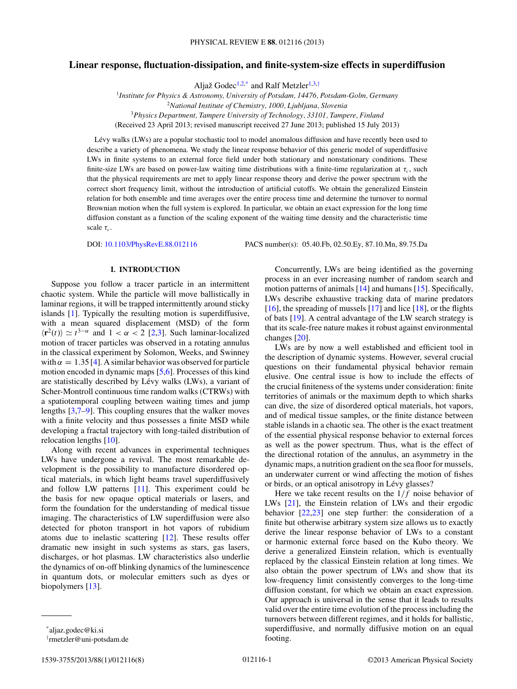# **Linear response, fluctuation-dissipation, and finite-system-size effects in superdiffusion**

Aljaž Godec<sup>1,2,\*</sup> and Ralf Metzler<sup>1,3,†</sup>

*Institute for Physics & Astronomy, University of Potsdam, 14476, Potsdam-Golm, Germany National Institute of Chemistry, 1000, Ljubljana, Slovenia Physics Department, Tampere University of Technology, 33101, Tampere, Finland* (Received 23 April 2013; revised manuscript received 27 June 2013; published 15 July 2013)

Lévy walks (LWs) are a popular stochastic tool to model anomalous diffusion and have recently been used to describe a variety of phenomena. We study the linear response behavior of this generic model of superdiffusive LWs in finite systems to an external force field under both stationary and nonstationary conditions. These finite-size LWs are based on power-law waiting time distributions with a finite-time regularization at  $\tau_c$ , such that the physical requirements are met to apply linear response theory and derive the power spectrum with the correct short frequency limit, without the introduction of artificial cutoffs. We obtain the generalized Einstein relation for both ensemble and time averages over the entire process time and determine the turnover to normal Brownian motion when the full system is explored. In particular, we obtain an exact expression for the long time diffusion constant as a function of the scaling exponent of the waiting time density and the characteristic time scale  $\tau_c$ .

DOI: [10.1103/PhysRevE.88.012116](http://dx.doi.org/10.1103/PhysRevE.88.012116) PACS number(s): 05*.*40*.*Fb, 02*.*50*.*Ey, 87*.*10*.*Mn, 89*.*75*.*Da

## **I. INTRODUCTION**

Suppose you follow a tracer particle in an intermittent chaotic system. While the particle will move ballistically in laminar regions, it will be trapped intermittently around sticky islands [\[1\]](#page-6-0). Typically the resulting motion is superdiffusive, with a mean squared displacement (MSD) of the form  $\langle \mathbf{r}^2(t) \rangle \simeq t^{3-\alpha}$  and  $1 < \alpha < 2$  [\[2,3\]](#page-6-0). Such laminar-localized motion of tracer particles was observed in a rotating annulus in the classical experiment by Solomon, Weeks, and Swinney with  $\alpha = 1.35$  [\[4\]](#page-6-0). A similar behavior was observed for particle motion encoded in dynamic maps [\[5,6\]](#page-7-0). Processes of this kind are statistically described by Lévy walks (LWs), a variant of Scher-Montroll continuous time random walks (CTRWs) with a spatiotemporal coupling between waiting times and jump lengths [\[3](#page-6-0)[,7–9\]](#page-7-0). This coupling ensures that the walker moves with a finite velocity and thus possesses a finite MSD while developing a fractal trajectory with long-tailed distribution of relocation lengths [\[10\]](#page-7-0).

Along with recent advances in experimental techniques LWs have undergone a revival. The most remarkable development is the possibility to manufacture disordered optical materials, in which light beams travel superdiffusively and follow LW patterns [\[11\]](#page-7-0). This experiment could be the basis for new opaque optical materials or lasers, and form the foundation for the understanding of medical tissue imaging. The characteristics of LW superdiffusion were also detected for photon transport in hot vapors of rubidium atoms due to inelastic scattering [\[12\]](#page-7-0). These results offer dramatic new insight in such systems as stars, gas lasers, discharges, or hot plasmas. LW characteristics also underlie the dynamics of on-off blinking dynamics of the luminescence in quantum dots, or molecular emitters such as dyes or biopolymers [\[13\]](#page-7-0).

LWs are by now a well established and efficient tool in the description of dynamic systems. However, several crucial questions on their fundamental physical behavior remain elusive. One central issue is how to include the effects of the crucial finiteness of the systems under consideration: finite territories of animals or the maximum depth to which sharks can dive, the size of disordered optical materials, hot vapors, and of medical tissue samples, or the finite distance between stable islands in a chaotic sea. The other is the exact treatment of the essential physical response behavior to external forces as well as the power spectrum. Thus, what is the effect of the directional rotation of the annulus, an asymmetry in the dynamic maps, a nutrition gradient on the sea floor for mussels, an underwater current or wind affecting the motion of fishes or birds, or an optical anisotropy in Lévy glasses?

Here we take recent results on the 1*/f* noise behavior of LWs [\[21\]](#page-7-0), the Einstein relation of LWs and their ergodic behavior [\[22,23\]](#page-7-0) one step further: the consideration of a finite but otherwise arbitrary system size allows us to exactly derive the linear response behavior of LWs to a constant or harmonic external force based on the Kubo theory. We derive a generalized Einstein relation, which is eventually replaced by the classical Einstein relation at long times. We also obtain the power spectrum of LWs and show that its low-frequency limit consistently converges to the long-time diffusion constant, for which we obtain an exact expression. Our approach is universal in the sense that it leads to results valid over the entire time evolution of the process including the turnovers between different regimes, and it holds for ballistic, superdiffusive, and normally diffusive motion on an equal footing.

Concurrently, LWs are being identified as the governing process in an ever increasing number of random search and motion patterns of animals [\[14\]](#page-7-0) and humans [\[15\]](#page-7-0). Specifically, LWs describe exhaustive tracking data of marine predators [\[16\]](#page-7-0), the spreading of mussels [\[17\]](#page-7-0) and lice [\[18\]](#page-7-0), or the flights of bats [\[19\]](#page-7-0). A central advantage of the LW search strategy is that its scale-free nature makes it robust against environmental changes [\[20\]](#page-7-0).

<sup>\*</sup>aljaz.godec@ki.si

<sup>†</sup> rmetzler@uni-potsdam.de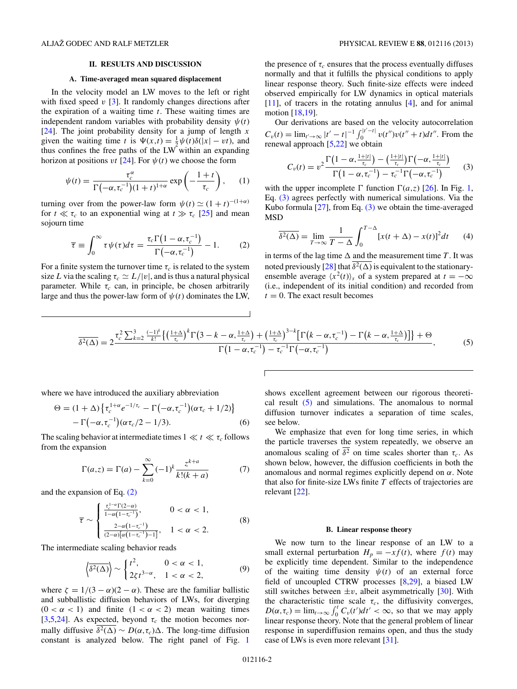### **II. RESULTS AND DISCUSSION**

#### **A. Time-averaged mean squared displacement**

<span id="page-1-0"></span>In the velocity model an LW moves to the left or right with fixed speed *v* [\[3\]](#page-6-0). It randomly changes directions after the expiration of a waiting time *t*. These waiting times are independent random variables with probability density  $\psi(t)$ [\[24\]](#page-7-0). The joint probability density for a jump of length *x* given the waiting time *t* is  $\Psi(x,t) = \frac{1}{2}\psi(t)\delta(|x| - vt)$ , and thus confines the free paths of the LW within an expanding horizon at positions *vt* [\[24\]](#page-7-0). For  $\psi(t)$  we choose the form

$$
\psi(t) = \frac{\tau_c^{\alpha}}{\Gamma(-\alpha, \tau_c^{-1})(1+t)^{1+\alpha}} \exp\left(-\frac{1+t}{\tau_c}\right), \quad (1)
$$

turning over from the power-law form  $\psi(t) \simeq (1 + t)^{-(1 + \alpha)}$ for  $t \ll \tau_c$  to an exponential wing at  $t \gg \tau_c$  [\[25\]](#page-7-0) and mean sojourn time

$$
\overline{\tau} \equiv \int_0^\infty \tau \psi(\tau) d\tau = \frac{\tau_c \Gamma(1 - \alpha, \tau_c^{-1})}{\Gamma(-\alpha, \tau_c^{-1})} - 1. \tag{2}
$$

For a finite system the turnover time  $\tau_c$  is related to the system size *L* via the scaling  $\tau_c \simeq L/|v|$ , and is thus a natural physical parameter. While  $\tau_c$  can, in principle, be chosen arbitrarily large and thus the power-law form of  $\psi(t)$  dominates the LW,

the presence of  $\tau_c$  ensures that the process eventually diffuses normally and that it fulfills the physical conditions to apply linear response theory. Such finite-size effects were indeed observed empirically for LW dynamics in optical materials [\[11\]](#page-7-0), of tracers in the rotating annulus [\[4\]](#page-6-0), and for animal motion [\[18,19\]](#page-7-0).

Our derivations are based on the velocity autocorrelation  $C_v(t) = \lim_{t' \to \infty} |t' - t|^{-1} \int_0^{|t'-t|} v(t'')v(t'' + t) dt''$ . From the renewal approach [\[5,22\]](#page-7-0) we obtain

$$
C_v(t) = v^2 \frac{\Gamma\left(1-\alpha,\frac{1+|t|}{\tau_c}\right) - \left(\frac{1+|t|}{\tau_c}\right) \Gamma\left(-\alpha,\frac{1+|t|}{\tau_c}\right)}{\Gamma\left(1-\alpha,\tau_c^{-1}\right) - \tau_c^{-1} \Gamma\left(-\alpha,\tau_c^{-1}\right)} \qquad (3)
$$

with the upper incomplete  $\Gamma$  function  $\Gamma(a,z)$  [\[26\]](#page-7-0). In Fig. [1,](#page-2-0) Eq. (3) agrees perfectly with numerical simulations. Via the Kubo formula  $[27]$ , from Eq.  $(3)$  we obtain the time-averaged MSD

$$
\overline{\delta^2(\Delta)} = \lim_{T \to \infty} \frac{1}{T - \Delta} \int_0^{T - \Delta} [x(t + \Delta) - x(t)]^2 dt \qquad (4)
$$

in terms of the lag time  $\Delta$  and the measurement time *T*. It was noted previously  $[28]$  that  $\overline{\delta^2(\Delta)}$  is equivalent to the stationaryensemble average  $\langle x^2(t) \rangle_s$  of a system prepared at  $t = -\infty$ (i.e., independent of its initial condition) and recorded from  $t = 0$ . The exact result becomes

$$
\overline{\delta^2(\Delta)} = 2 \frac{\tau_c^2 \sum_{k=2}^3 \frac{(-1)^k}{k!} \left\{ \left(\frac{1+\Delta}{\tau_c}\right)^k \Gamma\left(3-k-\alpha,\frac{1+\Delta}{\tau_c}\right) + \left(\frac{1+\Delta}{\tau_c}\right)^{3-k} \left[\Gamma\left(k-\alpha,\tau_c^{-1}\right) - \Gamma\left(k-\alpha,\frac{1+\Delta}{\tau_c}\right)\right] \right\} + \Theta}{\Gamma\left(1-\alpha,\tau_c^{-1}\right) - \tau_c^{-1} \Gamma\left(-\alpha,\tau_c^{-1}\right)},\tag{5}
$$

where we have introduced the auxiliary abbreviation

$$
\Theta = (1 + \Delta) \left\{ \tau_c^{1+\alpha} e^{-1/\tau_c} - \Gamma(-\alpha, \tau_c^{-1}) (\alpha \tau_c + 1/2) \right\}
$$
  
- 
$$
\Gamma(-\alpha, \tau_c^{-1}) (\alpha \tau_c / 2 - 1/3).
$$
 (6)

The scaling behavior at intermediate times  $1 \ll t \ll \tau_c$  follows from the expansion

$$
\Gamma(a,z) = \Gamma(a) - \sum_{k=0}^{\infty} (-1)^k \frac{z^{k+a}}{k!(k+a)} \tag{7}
$$

and the expansion of Eq. (2)

$$
\overline{\tau} \sim \begin{cases} \frac{\tau_c^{1-\alpha} \Gamma(2-\alpha)}{1-\alpha(1-\tau_c^{-1})}, & 0 < \alpha < 1, \\ \frac{2-\alpha(1-\tau_c^{-1})}{(2-\alpha)[\alpha(1-\tau_c^{-1})-1]}, & 1 < \alpha < 2. \end{cases}
$$
(8)

The intermediate scaling behavior reads

$$
\left\langle \overline{\delta^2(\Delta)} \right\rangle \sim \begin{cases} t^2, & 0 < \alpha < 1, \\ 2\zeta t^{3-\alpha}, & 1 < \alpha < 2, \end{cases} \tag{9}
$$

where  $\zeta = 1/(3 - \alpha)(2 - \alpha)$ . These are the familiar ballistic and subballistic diffusion behaviors of LWs, for diverging  $(0 < \alpha < 1)$  and finite  $(1 < \alpha < 2)$  mean waiting times [\[3](#page-6-0)[,5,24\]](#page-7-0). As expected, beyond  $\tau_c$  the motion becomes normally diffusive  $\overline{\delta^2(\Delta)} \sim D(\alpha, \tau_c) \Delta$ . The long-time diffusion constant is analyzed below. The right panel of Fig. [1](#page-2-0)

shows excellent agreement between our rigorous theoretical result (5) and simulations. The anomalous to normal diffusion turnover indicates a separation of time scales, see below.

We emphasize that even for long time series, in which the particle traverses the system repeatedly, we observe an anomalous scaling of  $\overline{\delta^2}$  on time scales shorter than  $\tau_c$ . As shown below, however, the diffusion coefficients in both the anomalous and normal regimes explicitly depend on *α*. Note that also for finite-size LWs finite *T* effects of trajectories are relevant [\[22\]](#page-7-0).

#### **B. Linear response theory**

We now turn to the linear response of an LW to a small external perturbation  $H_p = -xf(t)$ , where  $f(t)$  may be explicitly time dependent. Similar to the independence of the waiting time density  $\psi(t)$  of an external force field of uncoupled CTRW processes [\[8,29\]](#page-7-0), a biased LW still switches between  $\pm v$ , albeit asymmetrically [\[30\]](#page-7-0). With the characteristic time scale  $\tau_c$ , the diffusivity converges,  $D(\alpha, \tau_c) = \lim_{t \to \infty} \int_0^t C_v(t')dt' < \infty$ , so that we may apply linear response theory. Note that the general problem of linear response in superdiffusion remains open, and thus the study case of LWs is even more relevant [\[31\]](#page-7-0).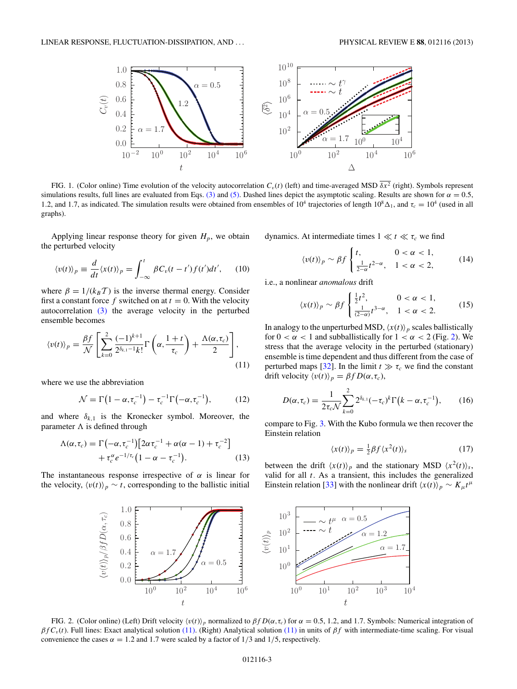<span id="page-2-0"></span>

FIG. 1. (Color online) Time evolution of the velocity autocorrelation  $C_v(t)$  (left) and time-averaged MSD  $\overline{\delta x^2}$  (right). Symbols represent simulations results, full lines are evaluated from Eqs. [\(3\)](#page-1-0) and [\(5\).](#page-1-0) Dashed lines depict the asymptotic scaling. Results are shown for  $\alpha = 0.5$ , 1.2, and 1.7, as indicated. The simulation results were obtained from ensembles of 10<sup>4</sup> trajectories of length  $10^8 \Delta_1$ , and  $\tau_c = 10^4$  (used in all graphs).

Applying linear response theory for given  $H_p$ , we obtain the perturbed velocity

$$
\langle v(t) \rangle_p \equiv \frac{d}{dt} \langle x(t) \rangle_p = \int_{-\infty}^t \beta C_v(t - t') f(t') dt', \qquad (10)
$$

where  $\beta = 1/(k_B T)$  is the inverse thermal energy. Consider first a constant force  $f$  switched on at  $t = 0$ . With the velocity autocorrelation [\(3\)](#page-1-0) the average velocity in the perturbed ensemble becomes

$$
\langle v(t) \rangle_p = \frac{\beta f}{\mathcal{N}} \left[ \sum_{k=0}^2 \frac{(-1)^{k+1}}{2^{\delta_{k,1}-1} k!} \Gamma\left(\alpha, \frac{1+t}{\tau_c}\right) + \frac{\Lambda(\alpha, \tau_c)}{2} \right],\tag{11}
$$

where we use the abbreviation

$$
\mathcal{N} = \Gamma\left(1 - \alpha, \tau_c^{-1}\right) - \tau_c^{-1} \Gamma\left(-\alpha, \tau_c^{-1}\right),\tag{12}
$$

and where  $\delta_{k,1}$  is the Kronecker symbol. Moreover, the parameter  $\Lambda$  is defined through

$$
\Lambda(\alpha, \tau_c) = \Gamma(-\alpha, \tau_c^{-1}) \left[ 2\alpha \tau_c^{-1} + \alpha(\alpha - 1) + \tau_c^{-2} \right] + \tau_c^{\alpha} e^{-1/\tau_c} \left( 1 - \alpha - \tau_c^{-1} \right). \tag{13}
$$

The instantaneous response irrespective of  $\alpha$  is linear for the velocity,  $\langle v(t) \rangle_p \sim t$ , corresponding to the ballistic initial

dynamics. At intermediate times  $1 \ll t \ll \tau_c$  we find

$$
\langle v(t) \rangle_p \sim \beta f \begin{cases} t, & 0 < \alpha < 1, \\ \frac{1}{2-\alpha} t^{2-\alpha}, & 1 < \alpha < 2, \end{cases} \tag{14}
$$

i.e., a nonlinear *anomalous* drift

$$
\langle x(t) \rangle_p \sim \beta f \begin{cases} \frac{1}{2}t^2, & 0 < \alpha < 1, \\ \frac{1}{(2-\alpha)}t^{3-\alpha}, & 1 < \alpha < 2. \end{cases}
$$
 (15)

In analogy to the unperturbed MSD,  $\langle x(t) \rangle_p$  scales ballistically for  $0 < \alpha < 1$  and subballistically for  $1 < \alpha < 2$  (Fig. 2). We stress that the average velocity in the perturbed (stationary) ensemble is time dependent and thus different from the case of perturbed maps [\[32\]](#page-7-0). In the limit  $t \gg \tau_c$  we find the constant drift velocity  $\langle v(t) \rangle_p = \beta f D(\alpha, \tau_c)$ ,

$$
D(\alpha, \tau_c) = \frac{1}{2\tau_c \mathcal{N}} \sum_{k=0}^{2} 2^{\delta_{k,1}} (-\tau_c)^k \Gamma(k - \alpha, \tau_c^{-1}), \qquad (16)
$$

compare to Fig. [3.](#page-3-0) With the Kubo formula we then recover the Einstein relation

$$
\langle x(t) \rangle_p = \frac{1}{2} \beta f \langle x^2(t) \rangle_s \tag{17}
$$

between the drift  $\langle x(t) \rangle_p$  and the stationary MSD  $\langle x^2(t) \rangle_s$ , valid for all *t*. As a transient, this includes the generalized Einstein relation [\[33\]](#page-7-0) with the nonlinear drift  $\langle x(t) \rangle_p \sim K_\mu t^\mu$ 



FIG. 2. (Color online) (Left) Drift velocity  $\langle v(t) \rangle_p$  normalized to  $\beta f D(\alpha, \tau_c)$  for  $\alpha = 0.5, 1.2$ , and 1.7. Symbols: Numerical integration of *βf Cv* (*t*). Full lines: Exact analytical solution (11). (Right) Analytical solution (11) in units of *βf* with intermediate-time scaling. For visual convenience the cases  $\alpha = 1.2$  and 1.7 were scaled by a factor of 1/3 and 1/5, respectively.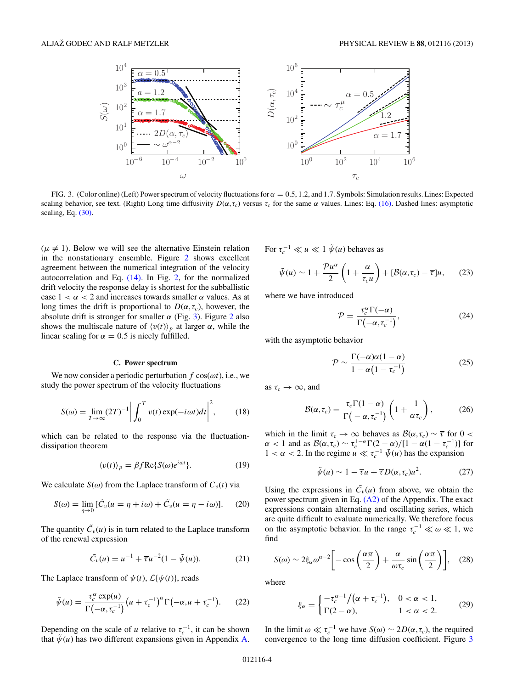<span id="page-3-0"></span>

FIG. 3. (Color online) (Left) Power spectrum of velocity fluctuations for  $\alpha = 0.5, 1.2$ , and 1.7. Symbols: Simulation results. Lines: Expected scaling behavior, see text. (Right) Long time diffusivity  $D(\alpha, \tau_c)$  versus  $\tau_c$  for the same  $\alpha$  values. Lines: Eq. [\(16\).](#page-2-0) Dashed lines: asymptotic scaling, Eq.  $(30)$ .

 $(\mu \neq 1)$ . Below we will see the alternative Einstein relation in the nonstationary ensemble. Figure [2](#page-2-0) shows excellent agreement between the numerical integration of the velocity autocorrelation and Eq. [\(14\).](#page-2-0) In Fig. [2,](#page-2-0) for the normalized drift velocity the response delay is shortest for the subballistic case  $1 < \alpha < 2$  and increases towards smaller  $\alpha$  values. As at long times the drift is proportional to  $D(\alpha, \tau_c)$ , however, the absolute drift is stronger for smaller  $\alpha$  (Fig. 3). Figure [2](#page-2-0) also shows the multiscale nature of  $\langle v(t) \rangle_p$  at larger  $\alpha$ , while the linear scaling for  $\alpha = 0.5$  is nicely fulfilled.

#### **C. Power spectrum**

We now consider a periodic perturbation *f* cos(*ωt*), i.e., we study the power spectrum of the velocity fluctuations

$$
S(\omega) = \lim_{T \to \infty} (2T)^{-1} \left| \int_0^T v(t) \exp(-i\omega t) dt \right|^2, \quad (18)
$$

which can be related to the response via the fluctuationdissipation theorem

$$
\langle v(t) \rangle_p = \beta f \text{Re}\{ S(\omega)e^{i\omega t} \}. \tag{19}
$$

We calculate  $S(\omega)$  from the Laplace transform of  $C_v(t)$  via

$$
S(\omega) = \lim_{\eta \to 0} [\tilde{C}_v(u = \eta + i\omega) + \tilde{C}_v(u = \eta - i\omega)].
$$
 (20)

The quantity  $\tilde{C}_v(u)$  is in turn related to the Laplace transform of the renewal expression

$$
\tilde{C}_v(u) = u^{-1} + \overline{\tau}u^{-2}(1 - \tilde{\psi}(u)).
$$
 (21)

The Laplace transform of  $\psi(t)$ ,  $\mathcal{L}\{\psi(t)\}\,$ , reads

$$
\tilde{\psi}(u) = \frac{\tau_c^{\alpha} \exp(u)}{\Gamma(-\alpha, \tau_c^{-1})} \left( u + \tau_c^{-1} \right)^{\alpha} \Gamma(-\alpha, u + \tau_c^{-1}). \tag{22}
$$

Depending on the scale of *u* relative to  $\tau_c^{-1}$ , it can be shown that  $\tilde{\psi}(u)$  has two different expansions given in Appendix [A.](#page-6-0) For  $\tau_c^{-1} \ll u \ll 1 \tilde{\psi}(u)$  behaves as

$$
\tilde{\psi}(u) \sim 1 + \frac{\mathcal{P}u^{\alpha}}{2} \left( 1 + \frac{\alpha}{\tau_c u} \right) + [\mathcal{B}(\alpha, \tau_c) - \overline{\tau}]u, \qquad (23)
$$

where we have introduced

$$
\mathcal{P} = \frac{\tau_c^{\alpha} \Gamma(-\alpha)}{\Gamma(-\alpha, \tau_c^{-1})},\tag{24}
$$

with the asymptotic behavior

$$
\mathcal{P} \sim \frac{\Gamma(-\alpha)\alpha(1-\alpha)}{1-\alpha(1-\tau_c^{-1})}
$$
\n(25)

as  $\tau_c \rightarrow \infty$ , and

$$
\mathcal{B}(\alpha,\tau_c) = \frac{\tau_c \Gamma(1-\alpha)}{\Gamma(-\alpha,\tau_c^{-1})} \left(1 + \frac{1}{\alpha \tau_c}\right),\tag{26}
$$

which in the limit  $\tau_c \to \infty$  behaves as  $\mathcal{B}(\alpha, \tau_c) \sim \overline{\tau}$  for 0 <  $\alpha < 1$  and as  $\mathcal{B}(\alpha, \tau_c) \sim \tau_c^{1-\alpha} \Gamma(2-\alpha) / [1-\alpha(1-\tau_c^{-1})]$  for  $1 < \alpha < 2$ . In the regime  $u \ll \tau_c^{-1} \tilde{\psi}(u)$  has the expansion

$$
\tilde{\psi}(u) \sim 1 - \overline{\tau}u + \overline{\tau}D(\alpha, \tau_c)u^2. \tag{27}
$$

Using the expressions in  $\tilde{C}_v(u)$  from above, we obtain the power spectrum given in Eq. [\(A2\)](#page-6-0) of the Appendix. The exact expressions contain alternating and oscillating series, which are quite difficult to evaluate numerically. We therefore focus on the asymptotic behavior. In the range  $\tau_c^{-1} \ll \omega \ll 1$ , we find

$$
S(\omega) \sim 2\xi_{\alpha}\omega^{\alpha-2} \bigg[ -\cos\left(\frac{\alpha\pi}{2}\right) + \frac{\alpha}{\omega\tau_c}\sin\left(\frac{\alpha\pi}{2}\right) \bigg], \quad (28)
$$

where

$$
\xi_{\alpha} = \begin{cases}\n-\tau_c^{\alpha - 1} / (\alpha + \tau_c^{-1}), & 0 < \alpha < 1, \\
\Gamma(2 - \alpha), & 1 < \alpha < 2.\n\end{cases}
$$
\n(29)

In the limit  $\omega \ll \tau_c^{-1}$  we have  $S(\omega) \sim 2D(\alpha, \tau_c)$ , the required convergence to the long time diffusion coefficient. Figure 3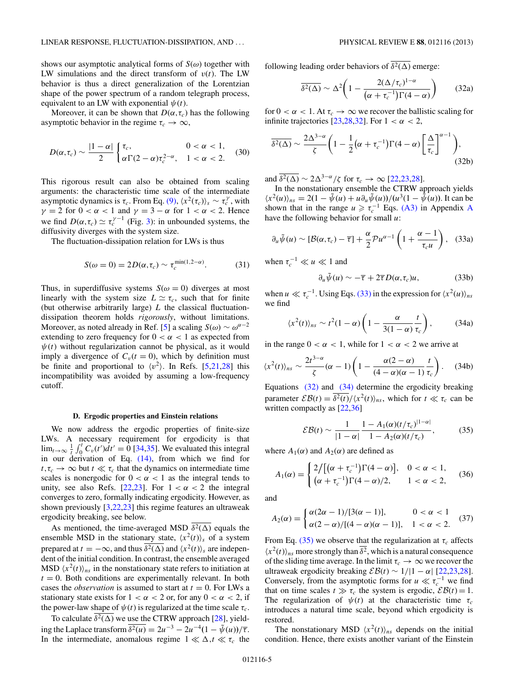<span id="page-4-0"></span>shows our asymptotic analytical forms of  $S(\omega)$  together with LW simulations and the direct transform of  $v(t)$ . The LW behavior is thus a direct generalization of the Lorentzian shape of the power spectrum of a random telegraph process, equivalent to an LW with exponential  $\psi(t)$ .

Moreover, it can be shown that  $D(\alpha, \tau_c)$  has the following asymptotic behavior in the regime  $\tau_c \to \infty$ ,

$$
D(\alpha, \tau_c) \sim \frac{|1-\alpha|}{2} \begin{cases} \tau_c, & 0 < \alpha < 1, \\ \alpha \Gamma(2-\alpha) \tau_c^{2-\alpha}, & 1 < \alpha < 2. \end{cases}
$$
 (30)

This rigorous result can also be obtained from scaling arguments: the characteristic time scale of the intermediate asymptotic dynamics is  $\tau_c$ . From Eq. [\(9\),](#page-1-0)  $\langle x^2(\tau_c) \rangle_s \sim \tau_c^{\gamma}$ , with  $\gamma = 2$  for  $0 < \alpha < 1$  and  $\gamma = 3 - \alpha$  for  $1 < \alpha < 2$ . Hence we find  $D(\alpha, \tau_c) \simeq \tau_c^{\gamma-1}$  (Fig. [3\)](#page-3-0): in unbounded systems, the diffusivity diverges with the system size.

The fluctuation-dissipation relation for LWs is thus

$$
S(\omega = 0) = 2D(\alpha, \tau_c) \sim \tau_c^{\min(1, 2-\alpha)}.
$$
 (31)

Thus, in superdiffusive systems  $S(\omega = 0)$  diverges at most linearly with the system size  $L \simeq \tau_c$ , such that for finite (but otherwise arbitrarily large) *L* the classical fluctuationdissipation theorem holds *rigorously*, without limitations. Moreover, as noted already in Ref. [\[5\]](#page-7-0) a scaling  $S(\omega) \sim \omega^{\alpha-2}$ extending to zero frequency for  $0 < \alpha < 1$  as expected from  $\psi(t)$  without regularization cannot be physical, as it would imply a divergence of  $C_v(t=0)$ , which by definition must be finite and proportional to  $\langle v^2 \rangle$ . In Refs. [\[5,21,28\]](#page-7-0) this incompatibility was avoided by assuming a low-frequency cutoff.

### **D. Ergodic properties and Einstein relations**

We now address the ergodic properties of finite-size LWs. A necessary requirement for ergodicity is that  $\lim_{t\to\infty} \frac{1}{t} \int_0^t C_v(t') dt' = 0$  [\[34,35\]](#page-7-0). We evaluated this integral in our derivation of Eq.  $(14)$ , from which we find for  $t, \tau_c \to \infty$  but  $t \ll \tau_c$  that the dynamics on intermediate time scales is nonergodic for  $0 < \alpha < 1$  as the integral tends to unity, see also Refs. [\[22,23\]](#page-7-0). For  $1 < \alpha < 2$  the integral converges to zero, formally indicating ergodicity. However, as shown previously  $[3,22,23]$  $[3,22,23]$  this regime features an ultraweak ergodicity breaking, see below.

As mentioned, the time-averaged MSD  $\overline{\delta^2(\Delta)}$  equals the ensemble MSD in the stationary state,  $\langle x^2(t) \rangle_s$  of a system prepared at  $t = -\infty$ , and thus  $\overline{\delta^2(\Delta)}$  and  $\langle x^2(t) \rangle_s$  are independent of the initial condition. In contrast, the ensemble averaged MSD  $\langle x^2(t) \rangle_{ns}$  in the nonstationary state refers to initiation at  $t = 0$ . Both conditions are experimentally relevant. In both cases the *observation* is assumed to start at  $t = 0$ . For LWs a stationary state exists for  $1 < \alpha < 2$  or, for any  $0 < \alpha < 2$ , if the power-law shape of  $\psi(t)$  is regularized at the time scale  $\tau_c$ .

To calculate  $\overline{\delta^2(\Delta)}$  we use the CTRW approach [\[28\]](#page-7-0), yielding the Laplace transform  $\overline{\delta^2(u)} = 2u^{-3} - 2u^{-4}(1 - \tilde{\psi}(u))/\overline{\tau}$ . In the intermediate, anomalous regime  $1 \ll \Delta, t \ll \tau_c$  the following leading order behaviors of  $\overline{\delta^2(\Delta)}$  emerge:

$$
\overline{\delta^2(\Delta)} \sim \Delta^2 \bigg( 1 - \frac{2(\Delta/\tau_c)^{1-\alpha}}{(\alpha + \tau_c^{-1})\Gamma(4-\alpha)} \bigg) \qquad (32a)
$$

for  $0 < \alpha < 1$ . At  $\tau_c \to \infty$  we recover the ballistic scaling for infinite trajectories [\[23,28,32\]](#page-7-0). For  $1 < \alpha < 2$ ,

$$
\overline{\delta^2(\Delta)} \sim \frac{2\Delta^{3-\alpha}}{\zeta} \bigg( 1 - \frac{1}{2} \big( \alpha + \tau_c^{-1} \big) \Gamma(4-\alpha) \bigg[ \frac{\Delta}{\tau_c} \bigg]^{\alpha-1} \bigg), \tag{32b}
$$

and  $\overline{\delta^2(\Delta)} \sim 2\Delta^{3-\alpha}/\zeta$  for  $\tau_c \to \infty$  [\[22,23,28\]](#page-7-0).

In the nonstationary ensemble the CTRW approach yields  $\langle x^2(u) \rangle_{ns} = 2(1 - \tilde{\psi}(u) + u \partial_u \tilde{\psi}(u))/(u^3(1 - \tilde{\psi}(u))$ . It can be shown that in the range  $u \ge \tau_c^{-1}$  Eqs. [\(A3\)](#page-6-0) in [A](#page-6-0)ppendix A have the following behavior for small *u*:

$$
\partial_u \tilde{\psi}(u) \sim [\mathcal{B}(\alpha, \tau_c) - \overline{\tau}] + \frac{\alpha}{2} \mathcal{P} u^{\alpha - 1} \left( 1 + \frac{\alpha - 1}{\tau_c u} \right), \quad (33a)
$$

when  $\tau_c^{-1} \ll u \ll 1$  and

$$
\partial_u \tilde{\psi}(u) \sim -\overline{\tau} + 2\overline{\tau} D(\alpha, \tau_c) u, \tag{33b}
$$

when  $u \ll \tau_c^{-1}$ . Using Eqs. (33) in the expression for  $\langle x^2(u) \rangle_{ns}$ we find

$$
\langle x^2(t)\rangle_{ns} \sim t^2(1-\alpha)\left(1-\frac{\alpha}{3(1-\alpha)}\frac{t}{\tau_c}\right),\qquad(34a)
$$

in the range  $0 < \alpha < 1$ , while for  $1 < \alpha < 2$  we arrive at

$$
\langle x^2(t) \rangle_{ns} \sim \frac{2t^{3-\alpha}}{\zeta} (\alpha - 1) \left( 1 - \frac{\alpha(2-\alpha)}{(4-\alpha)(\alpha-1)} \frac{t}{\tau_c} \right). \tag{34b}
$$

Equations (32) and (34) determine the ergodicity breaking parameter  $\mathcal{EB}(t) = \frac{\delta^2(t)}{\delta^2(t)} \langle x^2(t) \rangle_{ns}$ , which for  $t \ll \tau_c$  can be written compactly as [\[22,36\]](#page-7-0)

$$
EB(t) \sim \frac{1}{|1-\alpha|} \frac{1 - A_1(\alpha)(t/\tau_c)^{|1-\alpha|}}{1 - A_2(\alpha)(t/\tau_c)},
$$
(35)

where  $A_1(\alpha)$  and  $A_2(\alpha)$  are defined as

$$
A_1(\alpha) = \begin{cases} 2/[(\alpha + \tau_c^{-1})\Gamma(4 - \alpha)], & 0 < \alpha < 1, \\ (\alpha + \tau_c^{-1})\Gamma(4 - \alpha)/2, & 1 < \alpha < 2, \end{cases}
$$
 (36)

and

$$
A_2(\alpha) = \begin{cases} \alpha(2\alpha - 1)/[3(\alpha - 1)], & 0 < \alpha < 1\\ \alpha(2 - \alpha)/[(4 - \alpha)(\alpha - 1)], & 1 < \alpha < 2. \end{cases}
$$
 (37)

From Eq. (35) we observe that the regularization at  $\tau_c$  affects  $\langle x^2(t) \rangle_{ns}$  more strongly than  $\overline{\delta^2}$ , which is a natural consequence of the sliding time average. In the limit  $\tau_c \to \infty$  we recover the ultraweak ergodicity breaking  $\mathcal{EB}(t) \sim 1/|1 - \alpha|$  [\[22,23,28\]](#page-7-0). Conversely, from the asymptotic forms for  $u \ll \tau_c^{-1}$  we find that on time scales  $t \gg \tau_c$  the system is ergodic,  $\mathcal{EB}(t) = 1$ . The regularization of  $\psi(t)$  at the characteristic time  $\tau_c$ introduces a natural time scale, beyond which ergodicity is restored.

The nonstationary MSD  $\langle x^2(t) \rangle_{ns}$  depends on the initial condition. Hence, there exists another variant of the Einstein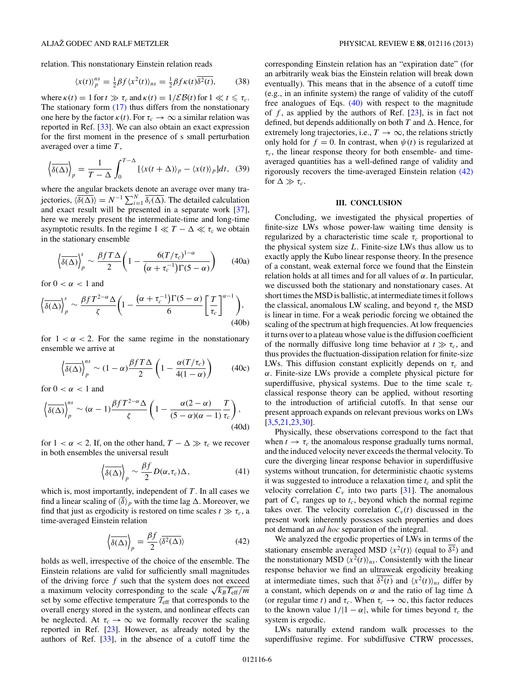relation. This nonstationary Einstein relation reads

$$
\langle x(t) \rangle_p^{ns} = \frac{1}{2} \beta f \langle x^2(t) \rangle_{ns} = \frac{1}{2} \beta f \kappa(t) \overline{\delta^2(t)}, \tag{38}
$$

where  $\kappa(t) = 1$  for  $t \gg \tau_c$  and  $\kappa(t) = 1/\mathcal{EB}(t)$  for  $1 \ll t \leq \tau_c$ . The stationary form  $(17)$  thus differs from the nonstationary one here by the factor  $\kappa(t)$ . For  $\tau_c \to \infty$  a similar relation was reported in Ref. [\[33\]](#page-7-0). We can also obtain an exact expression for the first moment in the presence of s small perturbation averaged over a time *T* ,

$$
\left\langle \overline{\delta(\Delta)} \right\rangle_p = \frac{1}{T - \Delta} \int_0^{T - \Delta} \left[ \langle x(t + \Delta) \rangle_p - \langle x(t) \rangle_p \right] dt, \tag{39}
$$

where the angular brackets denote an average over many trajectories,  $\langle \delta(\Delta) \rangle = N^{-1} \sum_{i=1}^{N} \overline{\delta_i(\Delta)}$ . The detailed calculation and exact result will be presented in a separate work [\[37\]](#page-7-0), here we merely present the intermediate-time and long-time asymptotic results. In the regime  $1 \ll T - \Delta \ll \tau_c$  we obtain in the stationary ensemble

$$
\left\langle \overline{\delta(\Delta)} \right\rangle_p^s \sim \frac{\beta f T \Delta}{2} \left( 1 - \frac{6(T/\tau_c)^{1-\alpha}}{(\alpha + \tau_c^{-1}) \Gamma(5-\alpha)} \right) \tag{40a}
$$

for  $0 < \alpha < 1$  and

$$
\left\langle \overline{\delta(\Delta)} \right\rangle_p^s \sim \frac{\beta f T^{2-\alpha} \Delta}{\zeta} \left( 1 - \frac{\left( \alpha + \tau_c^{-1} \right) \Gamma(5-\alpha)}{6} \left[ \frac{T}{\tau_c} \right]^{\alpha-1} \right), \tag{40b}
$$

for  $1 < \alpha < 2$ . For the same regime in the nonstationary ensemble we arrive at

$$
\left\langle \overline{\delta(\Delta)} \right\rangle_{p}^{ns} \sim (1 - \alpha) \frac{\beta f T \Delta}{2} \left( 1 - \frac{\alpha (T/\tau_c)}{4(1 - \alpha)} \right) \tag{40c}
$$

for  $0 < \alpha < 1$  and

$$
\left\langle \overline{\delta(\Delta)} \right\rangle_{p}^{ns} \sim (\alpha - 1) \frac{\beta f T^{2-\alpha} \Delta}{\zeta} \left( 1 - \frac{\alpha(2-\alpha)}{(5-\alpha)(\alpha-1)} \frac{T}{\tau_c} \right),\tag{40d}
$$

for  $1 < \alpha < 2$ . If, on the other hand,  $T - \Delta \gg \tau_c$  we recover in both ensembles the universal result

$$
\left\langle \overline{\delta(\Delta)} \right\rangle_p \sim \frac{\beta f}{2} D(\alpha, \tau_c) \Delta, \tag{41}
$$

which is, most importantly, independent of *T* . In all cases we find a linear scaling of  $\langle \overline{\delta} \rangle_p$  with the time lag  $\Delta$ . Moreover, we find that just as ergodicity is restored on time scales  $t \gg \tau_c$ , a time-averaged Einstein relation

$$
\left\langle \overline{\delta(\Delta)} \right\rangle_p = \frac{\beta f}{2} \langle \overline{\delta^2(\Delta)} \rangle \tag{42}
$$

holds as well, irrespective of the choice of the ensemble. The Einstein relations are valid for sufficiently small magnitudes of the driving force *f* such that the system does not exceed a maximum velocity corresponding to the scale  $\sqrt{k_B T_{\text{eff}}/m}$ set by some effective temperature  $T_{\text{eff}}$  that corresponds to the overall energy stored in the system, and nonlinear effects can be neglected. At  $\tau_c \to \infty$  we formally recover the scaling reported in Ref. [\[23\]](#page-7-0). However, as already noted by the authors of Ref. [\[33\]](#page-7-0), in the absence of a cutoff time the corresponding Einstein relation has an "expiration date" (for an arbitrarily weak bias the Einstein relation will break down eventually). This means that in the absence of a cutoff time (e.g., in an infinite system) the range of validity of the cutoff free analogues of Eqs. (40) with respect to the magnitude of  $f$ , as applied by the authors of Ref.  $[23]$ , is in fact not defined, but depends additionally on both  $T$  and  $\Delta$ . Hence, for extremely long trajectories, i.e.,  $T \rightarrow \infty$ , the relations strictly only hold for  $f = 0$ . In contrast, when  $\psi(t)$  is regularized at  $\tau_c$ , the linear response theory for both ensemble- and timeaveraged quantities has a well-defined range of validity and rigorously recovers the time-averaged Einstein relation (42) for  $\Delta \gg \tau_c$ .

## **III. CONCLUSION**

Concluding, we investigated the physical properties of finite-size LWs whose power-law waiting time density is regularized by a characteristic time scale  $\tau_c$  proportional to the physical system size *L*. Finite-size LWs thus allow us to exactly apply the Kubo linear response theory. In the presence of a constant, weak external force we found that the Einstein relation holds at all times and for all values of *α*. In particular, we discussed both the stationary and nonstationary cases. At short times the MSD is ballistic, at intermediate times it follows the classical, anomalous LW scaling, and beyond  $\tau_c$  the MSD is linear in time. For a weak periodic forcing we obtained the scaling of the spectrum at high frequencies. At low frequencies it turns over to a plateau whose value is the diffusion coefficient of the normally diffusive long time behavior at  $t \gg \tau_c$ , and thus provides the fluctuation-dissipation relation for finite-size LWs. This diffusion constant explicitly depends on  $\tau_c$  and *α*. Finite-size LWs provide a complete physical picture for superdiffusive, physical systems. Due to the time scale  $\tau_c$ classical response theory can be applied, without resorting to the introduction of artificial cutoffs. In that sense our present approach expands on relevant previous works on LWs [\[3](#page-6-0)[,5,21,23,30\]](#page-7-0).

Physically, these observations correspond to the fact that when  $t \to \tau_c$  the anomalous response gradually turns normal, and the induced velocity never exceeds the thermal velocity. To cure the diverging linear response behavior in superdiffusive systems without truncation, for deterministic chaotic systems it was suggested to introduce a relaxation time  $t_c$  and split the velocity correlation  $C_v$  into two parts [\[31\]](#page-7-0). The anomalous part of  $C_v$  ranges up to  $t_c$ , beyond which the normal regime takes over. The velocity correlation  $C_v(t)$  discussed in the present work inherently possesses such properties and does not demand an *ad hoc* separation of the integral.

We analyzed the ergodic properties of LWs in terms of the stationary ensemble averaged MSD  $\langle x^2(t) \rangle$  (equal to  $\overline{\delta^2}$ ) and the nonstationary MSD  $\langle x^2(t) \rangle_{ns}$ . Consistently with the linear response behavior we find an ultraweak ergodicity breaking at intermediate times, such that  $\delta^2(t)$  and  $\langle x^2(t) \rangle_{ns}$  differ by a constant, which depends on  $\alpha$  and the ratio of lag time  $\Delta$ (or regular time *t*) and  $\tau_c$ . When  $\tau_c \to \infty$ , this factor reduces to the known value  $1/|1 - \alpha|$ , while for times beyond  $\tau_c$  the system is ergodic.

LWs naturally extend random walk processes to the superdiffusive regime. For subdiffusive CTRW processes,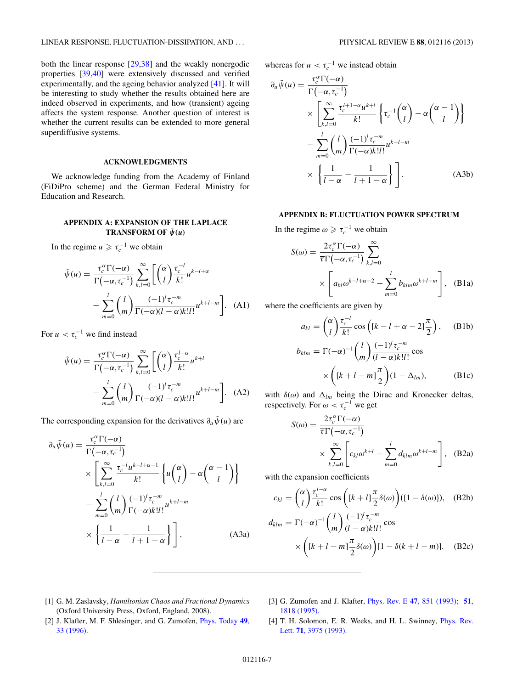<span id="page-6-0"></span>both the linear response [\[29,38\]](#page-7-0) and the weakly nonergodic properties [\[39,40\]](#page-7-0) were extensively discussed and verified experimentally, and the ageing behavior analyzed [\[41\]](#page-7-0). It will be interesting to study whether the results obtained here are indeed observed in experiments, and how (transient) ageing affects the system response. Another question of interest is whether the current results can be extended to more general superdiffusive systems.

## **ACKNOWLEDGMENTS**

We acknowledge funding from the Academy of Finland (FiDiPro scheme) and the German Federal Ministry for Education and Research.

# **APPENDIX A: EXPANSION OF THE LAPLACE TRANSFORM OF**  $\tilde{\psi}(u)$

In the regime  $u \ge \tau_c^{-1}$  we obtain

$$
\tilde{\psi}(u) = \frac{\tau_c^{\alpha} \Gamma(-\alpha)}{\Gamma(-\alpha, \tau_c^{-1})} \sum_{k,l=0}^{\infty} \left[ \binom{\alpha}{l} \frac{\tau_c^{-l}}{k!} u^{k-l+\alpha} - \sum_{m=0}^{l} \binom{l}{m} \frac{(-1)^l \tau_c^{-m}}{\Gamma(-\alpha)(l-\alpha)k!l!} u^{k+l-m} \right].
$$
\n(A1)

For  $u < \tau_c^{-1}$  we find instead

$$
\tilde{\psi}(u) = \frac{\tau_c^{\alpha} \Gamma(-\alpha)}{\Gamma(-\alpha, \tau_c^{-1})} \sum_{k,l=0}^{\infty} \left[ \binom{\alpha}{l} \frac{\tau_c^{l-\alpha}}{k!} u^{k+l} - \sum_{m=0}^{l} \binom{l}{m} \frac{(-1)^l \tau_c^{-m}}{\Gamma(-\alpha)(l-\alpha)k!l!} u^{k+l-m} \right].
$$
\n(A2)

The corresponding expansion for the derivatives  $\partial_u \tilde{\psi}(u)$  are

$$
\partial_u \tilde{\psi}(u) = \frac{\tau_c^{\alpha} \Gamma(-\alpha)}{\Gamma(-\alpha, \tau_c^{-1})} \times \left[ \sum_{k,l=0}^{\infty} \frac{\tau_c^{-l} u^{k-l+\alpha-l}}{k!} \left\{ u \binom{\alpha}{l} - \alpha \binom{\alpha-1}{l} \right\} - \sum_{m=0}^{l} \binom{l}{m} \frac{(-1)^l \tau_c^{-m}}{\Gamma(-\alpha) k! l!} u^{k+l-m} \times \left\{ \frac{1}{l-\alpha} - \frac{1}{l+1-\alpha} \right\} \right],
$$
\n(A3a)

whereas for  $u < \tau_c^{-1}$  we instead obtain

$$
\partial_u \tilde{\psi}(u) = \frac{\tau_c^{\alpha} \Gamma(-\alpha)}{\Gamma(-\alpha, \tau_c^{-1})} \times \left[ \sum_{k,l=0}^{\infty} \frac{\tau_c^{l+1-\alpha} u^{k+l}}{k!} \left\{ \tau_c^{-1} \binom{\alpha}{l} - \alpha \binom{\alpha-1}{l} \right\} \right] \n- \sum_{m=0}^{l} \binom{l}{m} \frac{(-1)^l \tau_c^{-m}}{\Gamma(-\alpha) k! l!} u^{k+l-m} \n\times \left\{ \frac{1}{l-\alpha} - \frac{1}{l+1-\alpha} \right\} \right].
$$
\n(A3b)

### **APPENDIX B: FLUCTUATION POWER SPECTRUM**

In the regime  $\omega \ge \tau_c^{-1}$  we obtain

$$
S(\omega) = \frac{2\tau_c^{\alpha}\Gamma(-\alpha)}{\overline{\tau}\Gamma(-\alpha, \tau_c^{-1})} \sum_{k,l=0}^{\infty}
$$
  
 
$$
\times \left[a_{kl}\omega^{k-l+\alpha-2} - \sum_{m=0}^{l} b_{klm}\omega^{k+l-m}\right], \quad (B1a)
$$

where the coefficients are given by

$$
a_{kl} = \binom{\alpha}{l} \frac{\tau_c^{-l}}{k!} \cos\left( [k - l + \alpha - 2] \frac{\pi}{2} \right), \quad \text{(B1b)}
$$

$$
b_{klm} = \Gamma(-\alpha)^{-1} \binom{l}{m} \frac{(-1)^l \tau_c^{-m}}{(l - \alpha)k!l!} \cos
$$

$$
\times \left( [k+l-m] \frac{\pi}{2} \right) (1 - \Delta_{lm}), \tag{B1c}
$$

with  $\delta(\omega)$  and  $\Delta_{lm}$  being the Dirac and Kronecker deltas, respectively. For  $\omega < \tau_c^{-1}$  we get

$$
S(\omega) = \frac{2\tau_c^{\alpha}\Gamma(-\alpha)}{\overline{\tau}\Gamma(-\alpha, \tau_c^{-1})}
$$

$$
\times \sum_{k,l=0}^{\infty} \left[c_{kl}\omega^{k+l} - \sum_{m=0}^{l} d_{klm}\omega^{k+l-m}\right], \quad (B2a)
$$

with the expansion coefficients

$$
c_{kl} = \binom{\alpha}{l} \frac{\tau_c^{l-\alpha}}{k!} \cos\left([k+l]\frac{\pi}{2}\delta(\omega)\right) (1-\delta(\omega))
$$
, (B2b)  

$$
d_{klm} = \Gamma(-\alpha)^{-1} \binom{l}{m} \frac{(-1)^l \tau_c^{-m}}{(l-\alpha)k!l!} \cos\left(\frac{k+l-m}{2}\delta(\omega)\right) [1-\delta(k+l-m)].
$$
 (B2c)

- [1] G. M. Zaslavsky, *Hamiltonian Chaos and Fractional Dynamics* (Oxford University Press, Oxford, England, 2008).
- [3] G. Zumofen and J. Klafter, Phys. Rev. E **47**[, 851 \(1993\);](http://dx.doi.org/10.1103/PhysRevE.47.851) **[51](http://dx.doi.org/10.1103/PhysRevE.51.1818)**, [1818 \(1995\).](http://dx.doi.org/10.1103/PhysRevE.51.1818)
- [2] J. Klafter, M. F. Shlesinger, and G. Zumofen, [Phys. Today](http://dx.doi.org/10.1063/1.881487) **49**, [33 \(1996\).](http://dx.doi.org/10.1063/1.881487)
- [4] T. H. Solomon, E. R. Weeks, and H. L. Swinney, [Phys. Rev.](http://dx.doi.org/10.1103/PhysRevLett.71.3975) Lett. **71**[, 3975 \(1993\).](http://dx.doi.org/10.1103/PhysRevLett.71.3975)